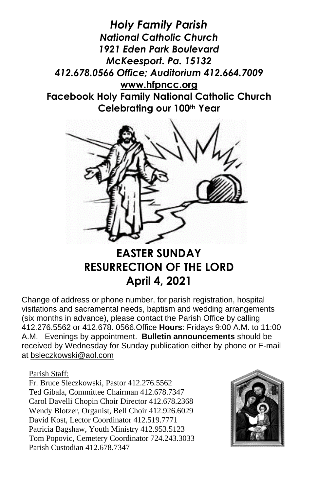*Holy Family Parish National Catholic Church 1921 Eden Park Boulevard McKeesport. Pa. 15132 412.678.0566 Office; Auditorium 412.664.7009* **[www.hfpncc.org](http://www.hfpncc.org/) Facebook Holy Family National Catholic Church Celebrating our 100th Year**



# **EASTER SUNDAY RESURRECTION OF THE LORD April 4, 2021**

Change of address or phone number, for parish registration, hospital visitations and sacramental needs, baptism and wedding arrangements (six months in advance), please contact the Parish Office by calling 412.276.5562 or 412.678. 0566.Office **Hours**: Fridays 9:00 A.M. to 11:00 A.M. Evenings by appointment. **Bulletin announcements** should be received by Wednesday for Sunday publication either by phone or E-mail at [bsleczkowski@aol.com](mailto:bsleczkowski@aol.com)

Parish Staff:

Fr. Bruce Sleczkowski, Pastor 412.276.5562 Ted Gibala, Committee Chairman 412.678.7347 Carol Davelli Chopin Choir Director 412.678.2368 Wendy Blotzer, Organist, Bell Choir 412.926.6029 David Kost, Lector Coordinator 412.519.7771 Patricia Bagshaw, Youth Ministry 412.953.5123 Tom Popovic, Cemetery Coordinator 724.243.3033 Parish Custodian 412.678.7347

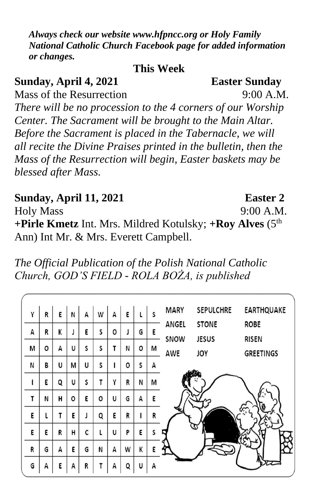*Always check our website www.hfpncc.org or Holy Family National Catholic Church Facebook page for added information or changes.*

**This Week**

**Sunday, April 4, 2021 Easter Sunday** Mass of the Resurrection 9:00 A M *There will be no procession to the 4 corners of our Worship Center. The Sacrament will be brought to the Main Altar. Before the Sacrament is placed in the Tabernacle, we will all recite the Divine Praises printed in the bulletin, then the Mass of the Resurrection will begin, Easter baskets may be blessed after Mass.*

**Sunday, April 11, 2021 Easter 2** Holy Mass 9:00 A.M. **+Pirle Kmetz** Int. Mrs. Mildred Kotulsky; **+Roy Alves** (5th Ann) Int Mr. & Mrs. Everett Campbell.

*The Official Publication of the Polish National Catholic Church, GOD'S FIELD - ROLA BOŻA, is published* 

| Υ | R       | Ε | N | А | W | A | E | ι | S | <b>MARY</b> | <b>SEPULCHRE</b> | <b>EARTHQUAKE</b> |
|---|---------|---|---|---|---|---|---|---|---|-------------|------------------|-------------------|
| А | R       | К | J | E | S | 0 |   | G | E | ANGEL       | <b>STONE</b>     | <b>ROBE</b>       |
| M | $\circ$ | А | U | S | S | T | N | ٥ |   | SNOW        | <b>JESUS</b>     | <b>RISEN</b>      |
|   |         |   |   |   |   |   |   |   | М | AWE         | JOY              | <b>GREETINGS</b>  |
| N | В       | U | M | U | S |   | ٥ | S | А |             |                  |                   |
|   | E       | Q | U | S | т | Y | R | N | M |             |                  |                   |
| т | N       | н | 0 | E | 0 | U | G | А | Ε |             |                  |                   |
| E | ι       | T | E |   | Q | E | R | ı | R |             |                  |                   |
| E | E       | R | н | C | L | U | P | E | S |             |                  |                   |
| R | G       | А | E | G | N | А | W | К | E |             |                  |                   |
| G | А       | E | A | R | т | А | ٥ | U | А |             |                  |                   |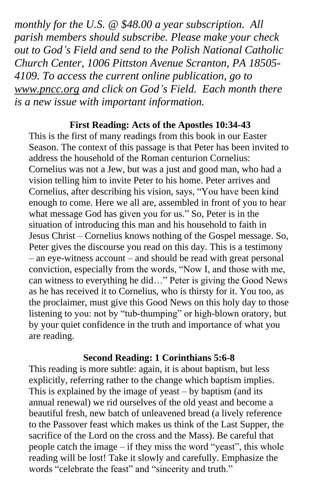*monthly for the U.S. @ \$48.00 a year subscription. All parish members should subscribe. Please make your check out to God's Field and send to the Polish National Catholic Church Center, 1006 Pittston Avenue Scranton, PA 18505- 4109. To access the current online publication, go to [www.pncc.org](http://www.pncc.org/) and click on God's Field. Each month there is a new issue with important information.*

# **First Reading: Acts of the Apostles 10:34-43**

This is the first of many readings from this book in our Easter Season. The context of this passage is that Peter has been invited to address the household of the Roman centurion Cornelius: Cornelius was not a Jew, but was a just and good man, who had a vision telling him to invite Peter to his home. Peter arrives and Cornelius, after describing his vision, says, "You have been kind enough to come. Here we all are, assembled in front of you to hear what message God has given you for us." So, Peter is in the situation of introducing this man and his household to faith in Jesus Christ – Cornelius knows nothing of the Gospel message. So, Peter gives the discourse you read on this day. This is a testimony – an eye-witness account – and should be read with great personal conviction, especially from the words, "Now I, and those with me, can witness to everything he did…" Peter is giving the Good News as he has received it to Cornelius, who is thirsty for it. You too, as the proclaimer, must give this Good News on this holy day to those listening to you: not by "tub-thumping" or high-blown oratory, but by your quiet confidence in the truth and importance of what you are reading.

### **Second Reading: 1 Corinthians 5:6-8**

This reading is more subtle: again, it is about baptism, but less explicitly, referring rather to the change which baptism implies. This is explained by the image of yeast – by baptism (and its annual renewal) we rid ourselves of the old yeast and become a beautiful fresh, new batch of unleavened bread (a lively reference to the Passover feast which makes us think of the Last Supper, the sacrifice of the Lord on the cross and the Mass). Be careful that people catch the image – if they miss the word "yeast", this whole reading will be lost! Take it slowly and carefully. Emphasize the words "celebrate the feast" and "sincerity and truth."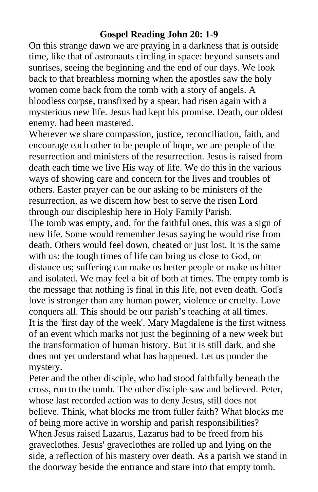## **Gospel Reading John 20: 1-9**

On this strange dawn we are praying in a darkness that is outside time, like that of astronauts circling in space: beyond sunsets and sunrises, seeing the beginning and the end of our days. We look back to that breathless morning when the apostles saw the holy women come back from the tomb with a story of angels. A bloodless corpse, transfixed by a spear, had risen again with a mysterious new life. Jesus had kept his promise. Death, our oldest enemy, had been mastered.

Wherever we share compassion, justice, reconciliation, faith, and encourage each other to be people of hope, we are people of the resurrection and ministers of the resurrection. Jesus is raised from death each time we live His way of life. We do this in the various ways of showing care and concern for the lives and troubles of others. Easter prayer can be our asking to be ministers of the resurrection, as we discern how best to serve the risen Lord through our discipleship here in Holy Family Parish.

The tomb was empty, and, for the faithful ones, this was a sign of new life. Some would remember Jesus saying he would rise from death. Others would feel down, cheated or just lost. It is the same with us: the tough times of life can bring us close to God, or distance us; suffering can make us better people or make us bitter and isolated. We may feel a bit of both at times. The empty tomb is the message that nothing is final in this life, not even death. God's love is stronger than any human power, violence or cruelty. Love conquers all. This should be our parish's teaching at all times. It is the 'first day of the week'. Mary Magdalene is the first witness of an event which marks not just the beginning of a new week but the transformation of human history. But 'it is still dark, and she does not yet understand what has happened. Let us ponder the mystery.

Peter and the other disciple, who had stood faithfully beneath the cross, run to the tomb. The other disciple saw and believed. Peter, whose last recorded action was to deny Jesus, still does not believe. Think, what blocks me from fuller faith? What blocks me of being more active in worship and parish responsibilities? When Jesus raised Lazarus, Lazarus had to be freed from his graveclothes. Jesus' graveclothes are rolled up and lying on the side, a reflection of his mastery over death. As a parish we stand in the doorway beside the entrance and stare into that empty tomb.